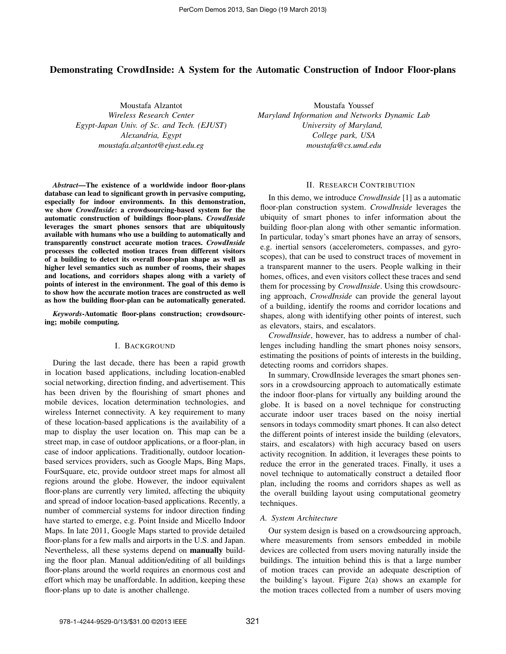# Demonstrating CrowdInside: A System for the Automatic Construction of Indoor Floor-plans

Moustafa Alzantot *Wireless Research Center Egypt-Japan Univ. of Sc. and Tech. (EJUST) Alexandria, Egypt moustafa.alzantot@ejust.edu.eg*

*Abstract*—The existence of a worldwide indoor floor-plans database can lead to significant growth in pervasive computing, especially for indoor environments. In this demonstration, we show *CrowdInside*: a crowdsourcing-based system for the automatic construction of buildings floor-plans. *CrowdInside* leverages the smart phones sensors that are ubiquitously available with humans who use a building to automatically and transparently construct accurate motion traces. *CrowdInside* processes the collected motion traces from different visitors of a building to detect its overall floor-plan shape as well as higher level semantics such as number of rooms, their shapes and locations, and corridors shapes along with a variety of points of interest in the environment. The goal of this demo is to show how the accurate motion traces are constructed as well as how the building floor-plan can be automatically generated.

*Keywords*-Automatic floor-plans construction; crowdsourcing; mobile computing.

#### I. BACKGROUND

During the last decade, there has been a rapid growth in location based applications, including location-enabled social networking, direction finding, and advertisement. This has been driven by the flourishing of smart phones and mobile devices, location determination technologies, and wireless Internet connectivity. A key requirement to many of these location-based applications is the availability of a map to display the user location on. This map can be a street map, in case of outdoor applications, or a floor-plan, in case of indoor applications. Traditionally, outdoor locationbased services providers, such as Google Maps, Bing Maps, FourSquare, etc, provide outdoor street maps for almost all regions around the globe. However, the indoor equivalent floor-plans are currently very limited, affecting the ubiquity and spread of indoor location-based applications. Recently, a number of commercial systems for indoor direction finding have started to emerge, e.g. Point Inside and Micello Indoor Maps. In late 2011, Google Maps started to provide detailed floor-plans for a few malls and airports in the U.S. and Japan. Nevertheless, all these systems depend on manually building the floor plan. Manual addition/editing of all buildings floor-plans around the world requires an enormous cost and effort which may be unaffordable. In addition, keeping these floor-plans up to date is another challenge.

Moustafa Youssef *Maryland Information and Networks Dynamic Lab University of Maryland, College park, USA moustafa@cs.umd.edu*

### II. RESEARCH CONTRIBUTION

In this demo, we introduce *CrowdInside* [1] as a automatic floor-plan construction system. *CrowdInside* leverages the ubiquity of smart phones to infer information about the building floor-plan along with other semantic information. In particular, today's smart phones have an array of sensors, e.g. inertial sensors (accelerometers, compasses, and gyroscopes), that can be used to construct traces of movement in a transparent manner to the users. People walking in their homes, offices, and even visitors collect these traces and send them for processing by *CrowdInside*. Using this crowdsourcing approach, *CrowdInside* can provide the general layout of a building, identify the rooms and corridor locations and shapes, along with identifying other points of interest, such as elevators, stairs, and escalators.

*CrowdInside*, however, has to address a number of challenges including handling the smart phones noisy sensors, estimating the positions of points of interests in the building, detecting rooms and corridors shapes.

In summary, CrowdInside leverages the smart phones sensors in a crowdsourcing approach to automatically estimate the indoor floor-plans for virtually any building around the globe. It is based on a novel technique for constructing accurate indoor user traces based on the noisy inertial sensors in todays commodity smart phones. It can also detect the different points of interest inside the building (elevators, stairs, and escalators) with high accuracy based on users activity recognition. In addition, it leverages these points to reduce the error in the generated traces. Finally, it uses a novel technique to automatically construct a detailed floor plan, including the rooms and corridors shapes as well as the overall building layout using computational geometry techniques.

#### *A. System Architecture*

Our system design is based on a crowdsourcing approach, where measurements from sensors embedded in mobile devices are collected from users moving naturally inside the buildings. The intuition behind this is that a large number of motion traces can provide an adequate description of the building's layout. Figure 2(a) shows an example for the motion traces collected from a number of users moving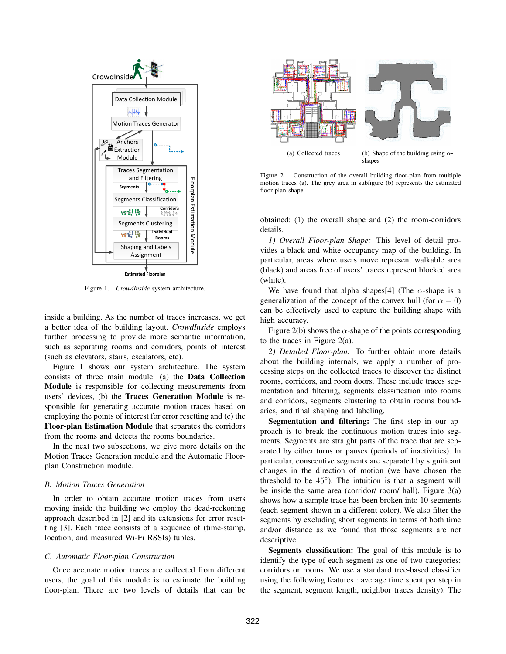

Figure 1. *CrowdInside* system architecture.

inside a building. As the number of traces increases, we get a better idea of the building layout. *CrowdInside* employs further processing to provide more semantic information, such as separating rooms and corridors, points of interest (such as elevators, stairs, escalators, etc).

Figure 1 shows our system architecture. The system consists of three main module: (a) the Data Collection Module is responsible for collecting measurements from users' devices, (b) the Traces Generation Module is responsible for generating accurate motion traces based on employing the points of interest for error resetting and (c) the Floor-plan Estimation Module that separates the corridors from the rooms and detects the rooms boundaries.

In the next two subsections, we give more details on the Motion Traces Generation module and the Automatic Floorplan Construction module.

# *B. Motion Traces Generation*

In order to obtain accurate motion traces from users moving inside the building we employ the dead-reckoning approach described in [2] and its extensions for error resetting [3]. Each trace consists of a sequence of (time-stamp, location, and measured Wi-Fi RSSIs) tuples.

# *C. Automatic Floor-plan Construction*

Once accurate motion traces are collected from different users, the goal of this module is to estimate the building floor-plan. There are two levels of details that can be



Figure 2. Construction of the overall building floor-plan from multiple motion traces (a). The grey area in subfigure (b) represents the estimated floor-plan shape.

obtained: (1) the overall shape and (2) the room-corridors details.

*1) Overall Floor-plan Shape:* This level of detail provides a black and white occupancy map of the building. In particular, areas where users move represent walkable area (black) and areas free of users' traces represent blocked area (white).

We have found that alpha shapes[4] (The  $\alpha$ -shape is a generalization of the concept of the convex hull (for  $\alpha = 0$ ) can be effectively used to capture the building shape with high accuracy.

Figure 2(b) shows the  $\alpha$ -shape of the points corresponding to the traces in Figure  $2(a)$ .

*2) Detailed Floor-plan:* To further obtain more details about the building internals, we apply a number of processing steps on the collected traces to discover the distinct rooms, corridors, and room doors. These include traces segmentation and filtering, segments classification into rooms and corridors, segments clustering to obtain rooms boundaries, and final shaping and labeling.

Segmentation and filtering: The first step in our approach is to break the continuous motion traces into segments. Segments are straight parts of the trace that are separated by either turns or pauses (periods of inactivities). In particular, consecutive segments are separated by significant changes in the direction of motion (we have chosen the threshold to be 45°). The intuition is that a segment will be inside the same area (corridor/ room/ hall). Figure 3(a) shows how a sample trace has been broken into 10 segments (each segment shown in a different color). We also filter the segments by excluding short segments in terms of both time and/or distance as we found that those segments are not descriptive.

Segments classification: The goal of this module is to identify the type of each segment as one of two categories: corridors or rooms. We use a standard tree-based classifier using the following features : average time spent per step in the segment, segment length, neighbor traces density). The